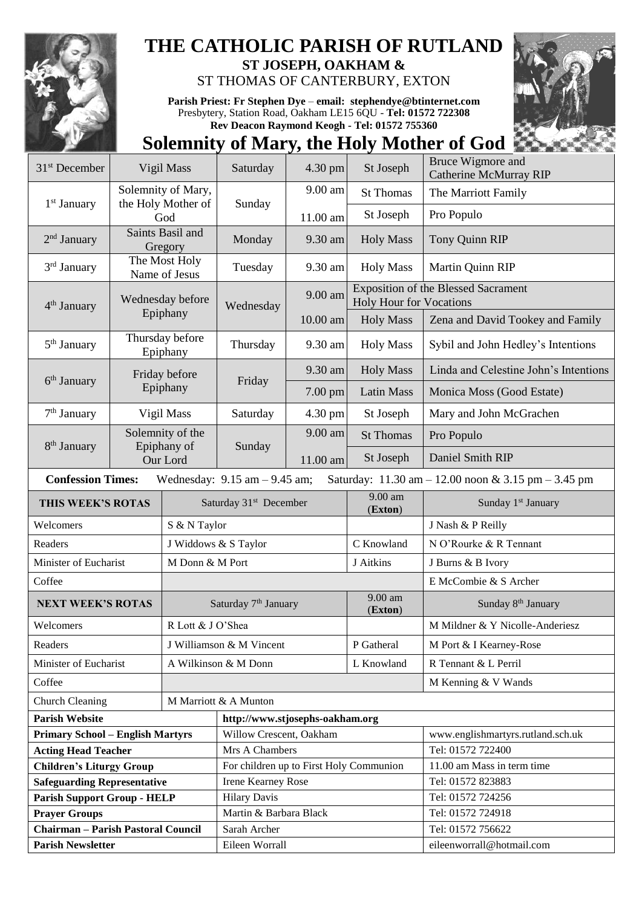

## **THE CATHOLIC PARISH OF RUTLAND**

**ST JOSEPH, OAKHAM &**  ST THOMAS OF CANTERBURY, EXTON

**Parish Priest: Fr Stephen Dye** – **[email: stephendye@btinternet.com](mailto:email:%20%20stephendye@btinternet.com)** Presbytery, Station Road, Oakham LE15 6QU - **Tel: 01572 722308 Rev Deacon Raymond Keogh - Tel: 01572 755360**



## **Solemnity of Mary, the Holy Mother of God**

| 31 <sup>st</sup> December                                                                                                                               | Vigil Mass                                  |                                  | Saturday                                | 4.30 pm  | St Joseph                      | Bruce Wigmore and<br><b>Catherine McMurray RIP</b> |  |
|---------------------------------------------------------------------------------------------------------------------------------------------------------|---------------------------------------------|----------------------------------|-----------------------------------------|----------|--------------------------------|----------------------------------------------------|--|
|                                                                                                                                                         | Solemnity of Mary,                          |                                  | Sunday                                  | 9.00 am  | <b>St Thomas</b>               | The Marriott Family                                |  |
| 1 <sup>st</sup> January                                                                                                                                 |                                             | the Holy Mother of<br>God        |                                         | 11.00 am | St Joseph                      | Pro Populo                                         |  |
| $2nd$ January                                                                                                                                           | Saints Basil and<br>Gregory                 |                                  | Monday                                  | 9.30 am  | <b>Holy Mass</b>               | Tony Quinn RIP                                     |  |
| 3 <sup>rd</sup> January                                                                                                                                 | The Most Holy<br>Name of Jesus              |                                  | Tuesday                                 | 9.30 am  | <b>Holy Mass</b>               | Martin Quinn RIP                                   |  |
| 4 <sup>th</sup> January                                                                                                                                 |                                             | Wednesday before                 | Wednesday                               | 9.00 am  | <b>Holy Hour for Vocations</b> | <b>Exposition of the Blessed Sacrament</b>         |  |
|                                                                                                                                                         |                                             | Epiphany                         |                                         | 10.00 am | <b>Holy Mass</b>               | Zena and David Tookey and Family                   |  |
| $5th$ January                                                                                                                                           | Thursday before<br>Epiphany                 |                                  | Thursday                                | 9.30 am  | <b>Holy Mass</b>               | Sybil and John Hedley's Intentions                 |  |
|                                                                                                                                                         | Friday before<br>Epiphany                   |                                  | Friday                                  | 9.30 am  | <b>Holy Mass</b>               | Linda and Celestine John's Intentions              |  |
| $6th$ January                                                                                                                                           |                                             |                                  |                                         | 7.00 pm  | <b>Latin Mass</b>              | Monica Moss (Good Estate)                          |  |
| 7 <sup>th</sup> January                                                                                                                                 | Vigil Mass                                  |                                  | Saturday                                | 4.30 pm  | St Joseph                      | Mary and John McGrachen                            |  |
|                                                                                                                                                         | Solemnity of the<br>Epiphany of<br>Our Lord |                                  | Sunday                                  | 9.00 am  | <b>St Thomas</b>               | Pro Populo                                         |  |
| 8 <sup>th</sup> January                                                                                                                                 |                                             |                                  |                                         | 11.00 am | St Joseph                      | Daniel Smith RIP                                   |  |
| <b>Confession Times:</b><br>Wednesday: $9.15$ am $- 9.45$ am;<br>Saturday: $11.30 \text{ am} - 12.00 \text{ noon} \& 3.15 \text{ pm} - 3.45 \text{ pm}$ |                                             |                                  |                                         |          |                                |                                                    |  |
| THIS WEEK'S ROTAS                                                                                                                                       |                                             |                                  | Saturday 31 <sup>st</sup> December      |          | 9.00 am<br>(Exton)             | Sunday 1 <sup>st</sup> January                     |  |
| Welcomers                                                                                                                                               | S & N Taylor                                |                                  |                                         |          | J Nash & P Reilly              |                                                    |  |
| Readers                                                                                                                                                 |                                             | J Widdows & S Taylor             |                                         |          | C Knowland                     | N O'Rourke & R Tennant                             |  |
| Minister of Eucharist                                                                                                                                   |                                             | M Donn & M Port                  |                                         |          | J Aitkins                      | J Burns & B Ivory                                  |  |
| Coffee                                                                                                                                                  |                                             |                                  |                                         |          |                                | E McCombie & S Archer                              |  |
| <b>NEXT WEEK'S ROTAS</b>                                                                                                                                |                                             | Saturday 7 <sup>th</sup> January |                                         |          | 9.00 am<br>(Exton)             | Sunday 8 <sup>th</sup> January                     |  |
| Welcomers                                                                                                                                               |                                             |                                  | R Lott & J O'Shea                       |          |                                | M Mildner & Y Nicolle-Anderiesz                    |  |
| Readers                                                                                                                                                 |                                             |                                  | J Williamson & M Vincent                |          | P Gatheral                     | M Port & I Kearney-Rose                            |  |
| Minister of Eucharist                                                                                                                                   |                                             |                                  | A Wilkinson & M Donn                    |          | L Knowland                     | R Tennant & L Perril                               |  |
| Coffee                                                                                                                                                  |                                             |                                  |                                         |          |                                | M Kenning & V Wands                                |  |
| <b>Church Cleaning</b>                                                                                                                                  |                                             |                                  | M Marriott & A Munton                   |          |                                |                                                    |  |
| <b>Parish Website</b>                                                                                                                                   |                                             |                                  | http://www.stjosephs-oakham.org         |          |                                |                                                    |  |
| <b>Primary School - English Martyrs</b>                                                                                                                 |                                             |                                  | Willow Crescent, Oakham                 |          |                                | www.englishmartyrs.rutland.sch.uk                  |  |
| <b>Acting Head Teacher</b>                                                                                                                              |                                             |                                  | Mrs A Chambers                          |          |                                | Tel: 01572 722400                                  |  |
| <b>Children's Liturgy Group</b>                                                                                                                         |                                             |                                  | For children up to First Holy Communion |          |                                | 11.00 am Mass in term time                         |  |
| <b>Safeguarding Representative</b>                                                                                                                      |                                             |                                  | Irene Kearney Rose                      |          |                                | Tel: 01572 823883                                  |  |
| <b>Parish Support Group - HELP</b>                                                                                                                      |                                             |                                  | <b>Hilary Davis</b>                     |          |                                | Tel: 01572 724256                                  |  |
| <b>Prayer Groups</b>                                                                                                                                    |                                             |                                  | Martin & Barbara Black                  |          |                                | Tel: 01572 724918                                  |  |
| <b>Chairman - Parish Pastoral Council</b>                                                                                                               |                                             |                                  | Sarah Archer                            |          |                                | Tel: 01572 756622                                  |  |
| <b>Parish Newsletter</b>                                                                                                                                |                                             |                                  | Eileen Worrall                          |          |                                | eileenworrall@hotmail.com                          |  |